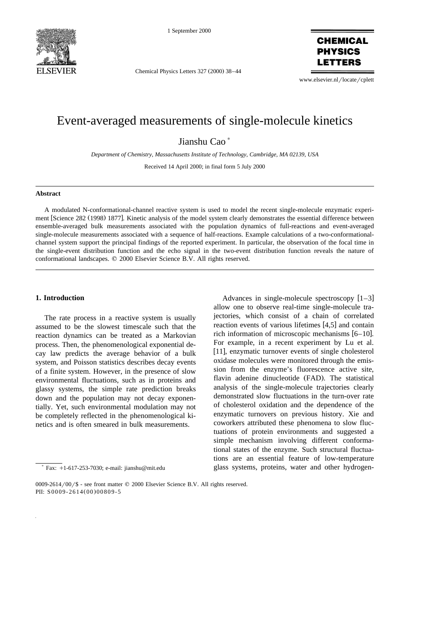

1 September 2000

Chemical Physics Letters 327 (2000) 38-44

**CHEMICAL PHYSICS LETTERS** 

www.elsevier.nl/locate/cplett

# Event-averaged measurements of single-molecule kinetics

Jianshu Cao<sup>\*</sup>

*Department of Chemistry, Massachusetts Institute of Technology, Cambridge, MA 02139, USA*

Received 14 April 2000; in final form 5 July 2000

#### **Abstract**

A modulated N-conformational-channel reactive system is used to model the recent single-molecule enzymatic experiment [Science 282 (1998) 1877]. Kinetic analysis of the model system clearly demonstrates the essential difference between ensemble-averaged bulk measurements associated with the population dynamics of full-reactions and event-averaged single-molecule measurements associated with a sequence of half-reactions. Example calculations of a two-conformationalchannel system support the principal findings of the reported experiment. In particular, the observation of the focal time in the single-event distribution function and the echo signal in the two-event distribution function reveals the nature of conformational landscapes.  $© 2000 Elsevier Science B.V. All rights reserved.$ 

## **1. Introduction**

The rate process in a reactive system is usually assumed to be the slowest timescale such that the reaction dynamics can be treated as a Markovian process. Then, the phenomenological exponential decay law predicts the average behavior of a bulk system, and Poisson statistics describes decay events of a finite system. However, in the presence of slow environmental fluctuations, such as in proteins and glassy systems, the simple rate prediction breaks down and the population may not decay exponentially. Yet, such environmental modulation may not be completely reflected in the phenomenological kinetics and is often smeared in bulk measurements.

Advances in single-molecule spectroscopy  $[1-3]$ allow one to observe real-time single-molecule trajectories, which consist of a chain of correlated reaction events of various lifetimes [4,5] and contain rich information of microscopic mechanisms  $[6-10]$ . For example, in a recent experiment by Lu et al. [11], enzymatic turnover events of single cholesterol oxidase molecules were monitored through the emission from the enzyme's fluorescence active site, flavin adenine dinucleotide (FAD). The statistical analysis of the single-molecule trajectories clearly demonstrated slow fluctuations in the turn-over rate of cholesterol oxidation and the dependence of the enzymatic turnovers on previous history. Xie and coworkers attributed these phenomena to slow fluctuations of protein environments and suggested a simple mechanism involving different conformational states of the enzyme. Such structural fluctuations are an essential feature of low-temperature glass systems, proteins, water and other hydrogen-

<sup>)</sup> Fax: q1-617-253-7030; e-mail: jianshu@mit.edu

<sup>0009-2614/00/\$ -</sup> see front matter  $©$  2000 Elsevier Science B.V. All rights reserved. PII: S0009-2614(00)00809-5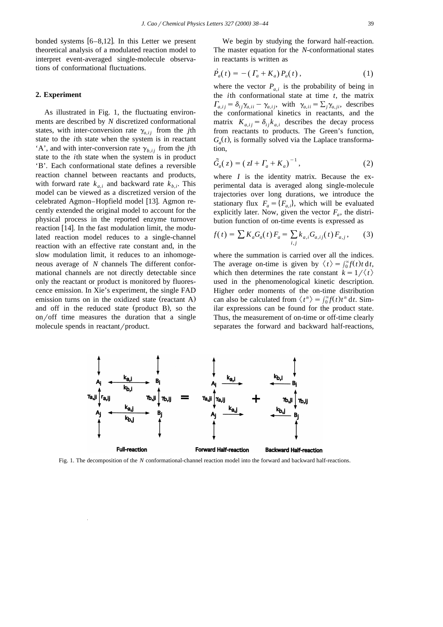bonded systems  $[6-8, 12]$ . In this Letter we present theoretical analysis of a modulated reaction model to interpret event-averaged single-molecule observations of conformational fluctuations.

## **2. Experiment**

As illustrated in Fig. 1, the fluctuating environments are described by *N* discretized conformational states, with inter-conversion rate  $\gamma_{a,i}$  from the *j*th state to the *i*th state when the system is in reactant 'A', and with inter-conversion rate  $\gamma_{h,ij}$  from the *j*th state to the *i*th state when the system is in product 'B'. Each conformational state defines a reversible reaction channel between reactants and products, with forward rate  $k_{a,i}$  and backward rate  $k_{b,i}$ . This model can be viewed as a discretized version of the celebrated Agmon–Hopfield model [13]. Agmon recently extended the original model to account for the physical process in the reported enzyme turnover reaction  $[14]$ . In the fast modulation limit, the modulated reaction model reduces to a single-channel reaction with an effective rate constant and, in the slow modulation limit, it reduces to an inhomogeneous average of *N* channels The different conformational channels are not directly detectable since only the reactant or product is monitored by fluorescence emission. In Xie's experiment, the single FAD emission turns on in the oxidized state (reactant A) and off in the reduced state (product B), so the on/off time measures the duration that a single molecule spends in reactant/product.

We begin by studying the forward half-reaction. The master equation for the *N*-conformational states in reactants is written as

$$
\dot{P}_a(t) = -\left(\,\Gamma_a + K_a\right) P_a(t)\,,\tag{1}
$$

where the vector  $P_{a,i}$  is the probability of being in the *i*th conformational state at time *t*, the matrix  $\sum_{a,i,j} = \delta_{ij} \gamma_{a,ii} - \gamma_{a,ij}$ , with  $\gamma_{a,ii} = \sum_j \gamma_{a,ji}$ , describes the conformational kinetics in reactants, and the matrix  $K_{a,i,j} = \delta_{ij} k_{a,i}$  describes the decay process from reactants to products. The Green's function,  $G_a(t)$ , is formally solved via the Laplace transformation,

$$
\tilde{G}_a(z) = \left( zI + \Gamma_a + K_a \right)^{-1},\tag{2}
$$

where  $I$  is the identity matrix. Because the experimental data is averaged along single-molecule trajectories over long durations, we introduce the stationary flux  $F_a = \{F_{a,i}\}\$ , which will be evaluated explicitly later. Now, given the vector  $F_a$ , the distribution function of on-time events is expressed as

$$
f(t) = \sum K_a G_a(t) F_a = \sum_{i,j} k_{a,i} G_{a,ij}(t) F_{a,j}, \qquad (3)
$$

where the summation is carried over all the indices. The average on-time is given by  $\langle t \rangle = \int_0^\infty f(t) t \, dt$ , which then determines the rate constant  $k = 1/\langle t \rangle$ used in the phenomenological kinetic description. Higher order moments of the on-time distribution can also be calculated from  $\langle t^n \rangle = \int_0^\infty f(t) t^n dt$ . Similar expressions can be found for the product state. Thus, the measurement of on-time or off-time clearly separates the forward and backward half-reactions,



Fig. 1. The decomposition of the *N* conformational-channel reaction model into the forward and backward half-reactions.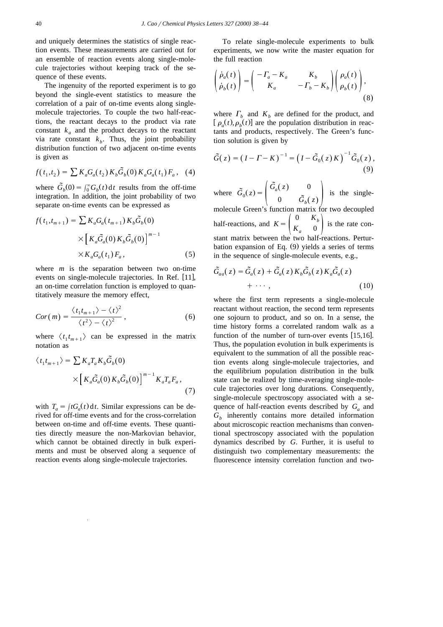and uniquely determines the statistics of single reaction events. These measurements are carried out for an ensemble of reaction events along single-molecule trajectories without keeping track of the sequence of these events.

The ingenuity of the reported experiment is to go beyond the single-event statistics to measure the correlation of a pair of on-time events along singlemolecule trajectories. To couple the two half-reactions, the reactant decays to the product via rate constant  $k_a$  and the product decays to the reactant via rate constant  $k_b$ . Thus, the joint probability distribution function of two adjacent on-time events is given as

$$
f(t_1, t_2) = \sum K_a G_a(t_2) K_b \tilde{G}_b(0) K_a G_a(t_1) F_a, \quad (4)
$$

where  $\tilde{G}_b(0) = \int_0^\infty G_b(t) dt$  results from the off-time integration. In addition, the joint probability of two separate on-time events can be expressed as

$$
f(t_1, t_{m+1}) = \sum K_a G_a(t_{m+1}) K_b \tilde{G}_b(0)
$$
  
 
$$
\times \left[ K_a \tilde{G}_a(0) K_b \tilde{G}_b(0) \right]^{m-1}
$$
  
 
$$
\times K_a G_a(t_1) F_a,
$$
 (5)

where *m* is the separation between two on-time events on single-molecule trajectories. In Ref. [11], an on-time correlation function is employed to quantitatively measure the memory effect,

$$
Cor(m) = \frac{\langle t_1 t_{m+1} \rangle - \langle t \rangle^2}{\langle t^2 \rangle - \langle t \rangle^2}, \tag{6}
$$

where  $\langle t_1 t_{m+1} \rangle$  can be expressed in the matrix notation as

$$
\langle t_1 t_{m+1} \rangle = \sum K_a T_a K_b \tilde{G}_b(0)
$$

$$
\times \left[ K_a \tilde{G}_a(0) K_b \tilde{G}_b(0) \right]^{m-1} K_a T_a F_a,
$$
(7)

with  $T_a = \int tG_a(t) dt$ . Similar expressions can be derived for off-time events and for the cross-correlation between on-time and off-time events. These quantities directly measure the non-Markovian behavior, which cannot be obtained directly in bulk experiments and must be observed along a sequence of reaction events along single-molecule trajectories.

To relate single-molecule experiments to bulk experiments, we now write the master equation for the full reaction

$$
\begin{pmatrix} \dot{\rho}_a(t) \\ \dot{\rho}_b(t) \end{pmatrix} = \begin{pmatrix} -\Gamma_a - K_a & K_b \\ K_a & -\Gamma_b - K_b \end{pmatrix} \begin{pmatrix} \rho_a(t) \\ \rho_b(t) \end{pmatrix},
$$
\n(8)

where  $\Gamma_b$  and  $K_b$  are defined for the product, and  $\left[ \rho_a(t), \rho_b(t) \right]$  are the population distribution in reactants and products, respectively. The Green's function solution is given by

$$
\tilde{G}(z) = (I - \Gamma - K)^{-1} = (I - \tilde{G}_0(z)K)^{-1} \tilde{G}_0(z),
$$
\n(9)

where  $\tilde{G}_0(z) = \begin{pmatrix} \tilde{G}_a(z) & 0 \\ 0 & \tilde{G}_b(z) \end{pmatrix}$  is the singlemolecule Green's function matrix for two decoupled half-reactions, and  $K = \begin{pmatrix} 0 & K_b \\ K_a & 0 \end{pmatrix}$  is the rate constant matrix between the two half-reactions. Perturbation expansion of Eq.  $(9)$  yields a series of terms in the sequence of single-molecule events, e.g.,

$$
\tilde{G}_{aa}(z) = \tilde{G}_a(z) + \tilde{G}_a(z) K_b \tilde{G}_b(z) K_a \tilde{G}_a(z) \n+ \cdots ,
$$
\n(10)

where the first term represents a single-molecule reactant without reaction, the second term represents one sojourn to product, and so on. In a sense, the time history forms a correlated random walk as a function of the number of turn-over events  $[15,16]$ . Thus, the population evolution in bulk experiments is equivalent to the summation of all the possible reaction events along single-molecule trajectories, and the equilibrium population distribution in the bulk state can be realized by time-averaging single-molecule trajectories over long durations. Consequently, single-molecule spectroscopy associated with a sequence of half-reaction events described by  $G_a$  and  $G<sub>b</sub>$  inherently contains more detailed information about microscopic reaction mechanisms than conventional spectroscopy associated with the population dynamics described by *G*. Further, it is useful to distinguish two complementary measurements: the fluorescence intensity correlation function and two-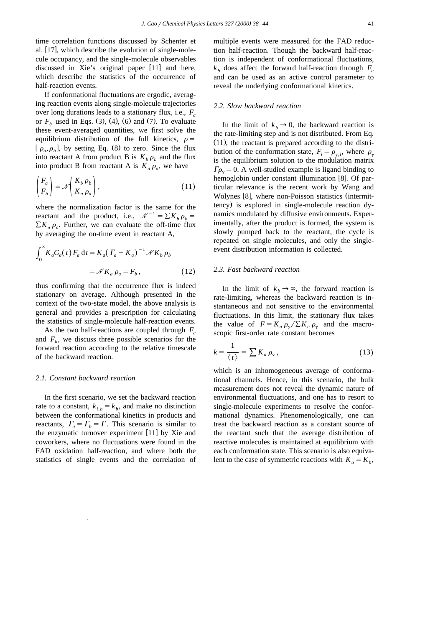time correlation functions discussed by Schenter et al.  $[17]$ , which describe the evolution of single-molecule occupancy, and the single-molecule observables discussed in Xie's original paper [11] and here, which describe the statistics of the occurrence of half-reaction events.

If conformational fluctuations are ergodic, averaging reaction events along single-molecule trajectories over long durations leads to a stationary flux, i.e., *Fa* or  $F<sub>b</sub>$  used in Eqs. (3), (4), (6) and (7). To evaluate these event-averaged quantities, we first solve the equilibrium distribution of the full kinetics,  $\rho =$  $\left[ \rho_a, \rho_b \right]$ , by setting Eq. (8) to zero. Since the flux into reactant A from product B is  $K_b \rho_b$  and the flux into product B from reactant A is  $K_a \rho_a$ , we have

$$
\begin{pmatrix} F_a \\ F_b \end{pmatrix} = \mathcal{N} \begin{pmatrix} K_b \rho_b \\ K_a \rho_a \end{pmatrix},
$$
\n(11)

where the normalization factor is the same for the reactant and the product, i.e.,  $\mathcal{N}^{-1} = \sum K_b \rho_b$  =  $\sum K_a \rho_a$ . Further, we can evaluate the off-time flux by averaging the on-time event in reactant A,

$$
\int_0^\infty K_a G_a(t) F_a dt = K_a (T_a + K_a)^{-1} \mathcal{N} K_b \rho_b
$$

$$
= \mathcal{N} K_a \rho_a = F_b , \qquad (12)
$$

thus confirming that the occurrence flux is indeed stationary on average. Although presented in the context of the two-state model, the above analysis is general and provides a prescription for calculating the statistics of single-molecule half-reaction events.

As the two half-reactions are coupled through *Fa* and  $F_b$ , we discuss three possible scenarios for the forward reaction according to the relative timescale of the backward reaction.

## *2.1. Constant backward reaction*

In the first scenario, we set the backward reaction rate to a constant,  $k_{i,b} = k_b$ , and make no distinction between the conformational kinetics in products and reactants,  $\Gamma_a = \Gamma_b = \Gamma$ . This scenario is similar to the enzymatic turnover experiment  $[11]$  by Xie and coworkers, where no fluctuations were found in the FAD oxidation half-reaction, and where both the statistics of single events and the correlation of multiple events were measured for the FAD reduction half-reaction. Though the backward half-reaction is independent of conformational fluctuations,  $k_h$  does affect the forward half-reaction through  $F_a$ and can be used as an active control parameter to reveal the underlying conformational kinetics.

#### *2.2. Slow backward reaction*

In the limit of  $k_b \rightarrow 0$ , the backward reaction is the rate-limiting step and is not distributed. From Eq.  $(11)$ , the reactant is prepared according to the distribution of the conformation state,  $F_i = \rho_{\gamma,i}$ , where  $\rho_{\gamma}$ is the equilibrium solution to the modulation matrix  $\Gamma \rho_{\gamma} = 0$ . A well-studied example is ligand binding to hemoglobin under constant illumination [8]. Of particular relevance is the recent work by Wang and Wolynes [8], where non-Poisson statistics (intermittency) is explored in single-molecule reaction dynamics modulated by diffusive environments. Experimentally, after the product is formed, the system is slowly pumped back to the reactant, the cycle is repeated on single molecules, and only the singleevent distribution information is collected.

#### *2.3. Fast backward reaction*

In the limit of  $k_b \rightarrow \infty$ , the forward reaction is rate-limiting, whereas the backward reaction is instantaneous and not sensitive to the environmental fluctuations. In this limit, the stationary flux takes the value of  $F = K_a \rho_v / \sum K_a \rho_v$  and the macroscopic first-order rate constant becomes

$$
k = \frac{1}{\langle t \rangle} = \sum K_a \rho_\gamma \,, \tag{13}
$$

which is an inhomogeneous average of conformational channels. Hence, in this scenario, the bulk measurement does not reveal the dynamic nature of environmental fluctuations, and one has to resort to single-molecule experiments to resolve the conformational dynamics. Phenomenologically, one can treat the backward reaction as a constant source of the reactant such that the average distribution of reactive molecules is maintained at equilibrium with each conformation state. This scenario is also equivalent to the case of symmetric reactions with  $K_a = K_b$ ,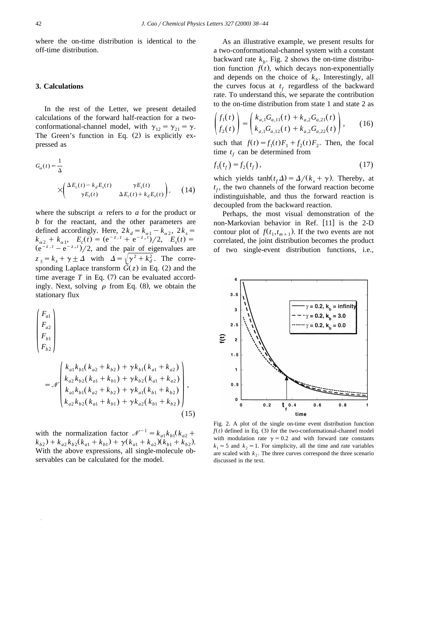where the on-time distribution is identical to the off-time distribution.

## **3. Calculations**

In the rest of the Letter, we present detailed calculations of the forward half-reaction for a twoconformational-channel model, with  $\gamma_{12} = \gamma_{21} = \gamma$ . The Green's function in Eq.  $(2)$  is explicitly expressed as

$$
G_{\alpha}(t) = \frac{1}{\Delta}
$$
  
 
$$
\times \begin{pmatrix} \Delta E_c(t) - k_d E_s(t) & \gamma E_s(t) \\ \gamma E_s(t) & \Delta E_c(t) + k_d E_s(t) \end{pmatrix}, \quad (14)
$$

where the subscript  $\alpha$  refers to  $\alpha$  for the product or *b* for the reactant, and the other parameters are defined accordingly. Here,  $2k_d = k_{\alpha 1} - k_{\alpha 2}$ ,  $2k_s =$  $k_{\alpha 2} + k_{\alpha 1}$ ,  $E_c(t) = (e^{-z-t} + e^{-z+t})/2$ ,  $E_s(t) =$  $\frac{d^{2}}{e^{-z-t} - e^{-z+t}}$ //2, and the pair of eigenvalues are  $z_+ = k_s + \gamma \pm \Delta$  with  $\Delta = \sqrt{\gamma^2 + k_d^2}$ . The corresponding Laplace transform  $\tilde{G}(z)$  in Eq. (2) and the time average  $T$  in Eq.  $(7)$  can be evaluated accordingly. Next, solving  $\rho$  from Eq. (8), we obtain the stationary flux

$$
\begin{pmatrix}\nF_{a1} \\
F_{a2} \\
F_{b1} \\
F_{b2}\n\end{pmatrix}
$$
\n
$$
\begin{pmatrix}\nk_{a1}k_{b1}(k_{a2} + k_{b2}) + \gamma k_{b1}(k_{a1} + k_{a2}) \\
k_{b1}k_{c1}(k_{b1} + k_{b2}) + \gamma k_{b2}(k_{b1} + k_{b2})\n\end{pmatrix}
$$

$$
=\mathcal{N}\left|\frac{k_{a2}k_{b2}(k_{a1}+k_{b1})+\gamma k_{b2}(k_{a1}+k_{a2})}{k_{a1}k_{b1}(k_{a2}+k_{b2})+\gamma k_{a1}(k_{b1}+k_{b2})}\right|,
$$
\n
$$
k_{a2}k_{b2}(k_{a1}+k_{b1})+\gamma k_{a2}(k_{b1}+k_{b2})\right|,
$$
\n(15)

with the normalization factor  $\mathcal{N}^{-1} = k_{a1} k_{b1} (k_{a2} +$  $k_{b2}$ ) +  $k_{a2}k_{b2}(k_{a1} + k_{b1}) + \gamma (k_{a1} + k_{a2})(k_{b1} + k_{b2}).$ With the above expressions, all single-molecule observables can be calculated for the model.

As an illustrative example, we present results for a two-conformational-channel system with a constant backward rate  $k<sub>b</sub>$ . Fig. 2 shows the on-time distribution function  $f(t)$ , which decays non-exponentially and depends on the choice of  $k<sub>b</sub>$ . Interestingly, all the curves focus at  $t_f$  regardless of the backward rate. To understand this, we separate the contribution to the on-time distribution from state 1 and state 2 as

$$
\begin{pmatrix} f_1(t) \\ f_2(t) \end{pmatrix} = \begin{pmatrix} k_{a,1}G_{a,11}(t) + k_{a,2}G_{a,21}(t) \\ k_{a,1}G_{a,12}(t) + k_{a,2}G_{a,22}(t) \end{pmatrix}, \qquad (16)
$$

such that  $f(t) = f_1(t)F_1 + f_2(t)F_2$ . Then, the focal time  $t_f$  can be determined from

$$
f_1(t_f) = f_2(t_f),
$$
 (17)

which yields  $t_f \Delta = \Delta/(k_s + \gamma)$ . Thereby, at  $t_f$ , the two channels of the forward reaction become indistinguishable, and thus the forward reaction is decoupled from the backward reaction.

Perhaps, the most visual demonstration of the non-Markovian behavior in Ref. [11] is the 2-D contour plot of  $f(t_1, t_{m+1})$ . If the two events are not correlated, the joint distribution becomes the product of two single-event distribution functions, i.e.,



Fig. 2. A plot of the single on-time event distribution function  $f(t)$  defined in Eq. (3) for the two-conformational-channel model with modulation rate  $\gamma = 0.2$  and with forward rate constants  $k_1 = 5$  and  $k_2 = 1$ . For simplicity, all the time and rate variables are scaled with  $k_2$ . The three curves correspond the three scenario discussed in the text.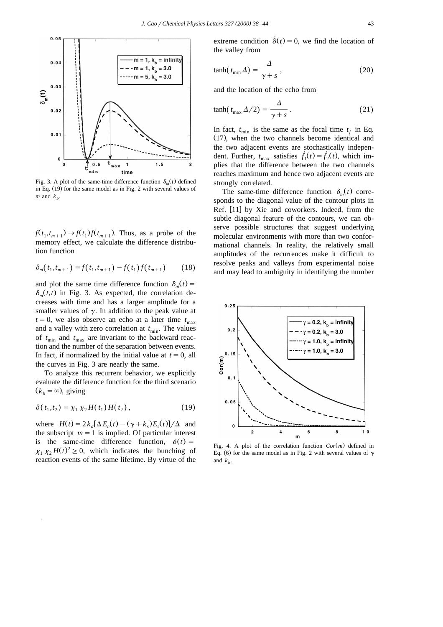

Fig. 3. A plot of the same-time difference function  $\delta_m(t)$  defined in Eq.  $(19)$  for the same model as in Fig. 2 with several values of *m* and  $k<sub>b</sub>$ .

 $f(t_1, t_{m+1}) \rightarrow f(t_1) f(t_{m+1})$ . Thus, as a probe of the memory effect, we calculate the difference distribution function

$$
\delta_m(t_1, t_{m+1}) = f(t_1, t_{m+1}) - f(t_1) f(t_{m+1}) \tag{18}
$$

and plot the same time difference function  $\delta_m(t)$  =  $\delta_m(t,t)$  in Fig. 3. As expected, the correlation decreases with time and has a larger amplitude for a smaller values of  $\gamma$ . In addition to the peak value at  $t = 0$ , we also observe an echo at a later time  $t_{\text{max}}$ and a valley with zero correlation at  $t_{\min}$ . The values of  $t_{\min}$  and  $t_{\max}$  are invariant to the backward reaction and the number of the separation between events. In fact, if normalized by the initial value at  $t = 0$ , all the curves in Fig. 3 are nearly the same.

To analyze this recurrent behavior, we explicitly evaluate the difference function for the third scenario  $(k_h = \infty)$ , giving

$$
\delta(t_1, t_2) = \chi_1 \chi_2 H(t_1) H(t_2), \qquad (19)
$$

where  $H(t) = 2k_d[\Delta E_c(t) - (\gamma + k_s)E_s(t)]/\Delta$  and the subscript  $m = 1$  is implied. Of particular interest is the same-time difference function,  $\delta(t)$  =  $\chi_1 \chi_2 H(t)^2 \geq 0$ , which indicates the bunching of reaction events of the same lifetime. By virtue of the extreme condition  $\dot{\delta}(t) = 0$ , we find the location of the valley from

$$
\tanh(t_{\min} \Delta) = \frac{\Delta}{\gamma + s},\tag{20}
$$

and the location of the echo from

$$
\tanh(t_{\text{max}}\,\Delta/2) = \frac{\Delta}{\gamma + s} \,. \tag{21}
$$

In fact,  $t_{\min}$  is the same as the focal time  $t_f$  in Eq.  $(17)$ , when the two channels become identical and the two adjacent events are stochastically independent. Further,  $t_{\text{max}}$  satisfies  $\dot{f}_1(t) = \dot{f}_2(t)$ , which implies that the difference between the two channels reaches maximum and hence two adjacent events are strongly correlated.

The same-time difference function  $\delta_m(t)$  corresponds to the diagonal value of the contour plots in Ref.  $[11]$  by Xie and coworkers. Indeed, from the subtle diagonal feature of the contours, we can observe possible structures that suggest underlying molecular environments with more than two conformational channels. In reality, the relatively small amplitudes of the recurrences make it difficult to resolve peaks and valleys from experimental noise and may lead to ambiguity in identifying the number



Fig. 4. A plot of the correlation function  $Cor(m)$  defined in Eq. (6) for the same model as in Fig. 2 with several values of  $\gamma$ and  $k<sub>b</sub>$ .